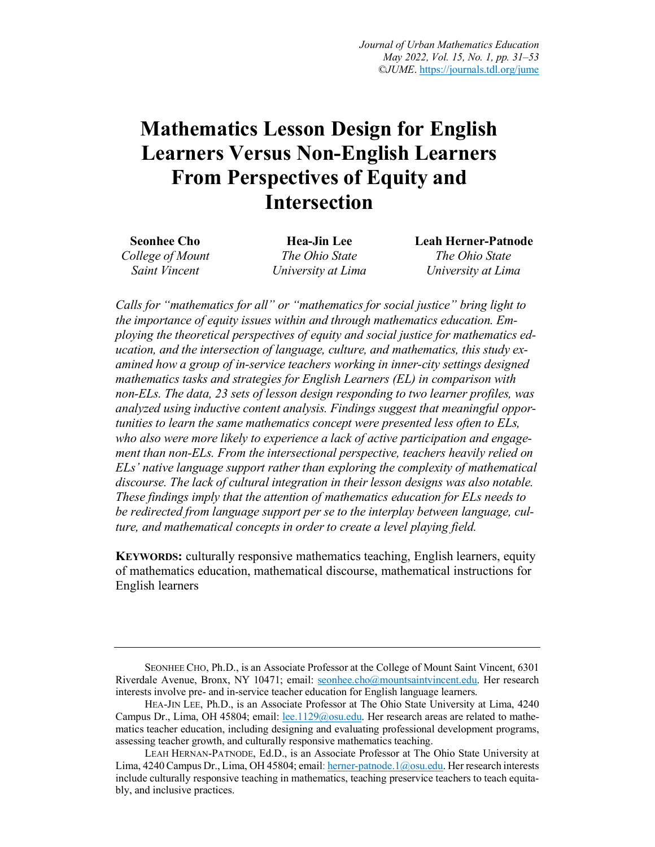# **Mathematics Lesson Design for English Learners Versus Non-English Learners From Perspectives of Equity and Intersection**

| <b>Seonhee Cho</b> | Hea-Jin Lee        | <b>Leah Herner-Patnode</b> |
|--------------------|--------------------|----------------------------|
| College of Mount   | The Ohio State     | The Ohio State             |
| Saint Vincent      | University at Lima | University at Lima         |

*Calls for "mathematics for all" or "mathematics for social justice" bring light to the importance of equity issues within and through mathematics education. Employing the theoretical perspectives of equity and social justice for mathematics education, and the intersection of language, culture, and mathematics, this study examined how a group of in-service teachers working in inner-city settings designed mathematics tasks and strategies for English Learners (EL) in comparison with non-ELs. The data, 23 sets of lesson design responding to two learner profiles, was analyzed using inductive content analysis. Findings suggest that meaningful opportunities to learn the same mathematics concept were presented less often to ELs, who also were more likely to experience a lack of active participation and engagement than non-ELs. From the intersectional perspective, teachers heavily relied on ELs' native language support rather than exploring the complexity of mathematical discourse. The lack of cultural integration in their lesson designs was also notable. These findings imply that the attention of mathematics education for ELs needs to be redirected from language support per se to the interplay between language, culture, and mathematical concepts in order to create a level playing field.*

**KEYWORDS:** culturally responsive mathematics teaching, English learners, equity of mathematics education, mathematical discourse, mathematical instructions for English learners

SEONHEE CHO, Ph.D., is an Associate Professor at the College of Mount Saint Vincent, 6301 Riverdale Avenue, Bronx, NY 10471; email: seonhee.cho@mountsaintvincent.edu. Her research interests involve pre- and in-service teacher education for English language learners.

HEA-JIN LEE, Ph.D., is an Associate Professor at The Ohio State University at Lima, 4240 Campus Dr., Lima, OH 45804; email: lee.1129@osu.edu. Her research areas are related to mathematics teacher education, including designing and evaluating professional development programs, assessing teacher growth, and culturally responsive mathematics teaching.

LEAH HERNAN-PATNODE, Ed.D., is an Associate Professor at The Ohio State University at Lima, 4240 Campus Dr., Lima, OH 45804; email: herner-patnode.1@osu.edu. Her research interests include culturally responsive teaching in mathematics, teaching preservice teachers to teach equitably, and inclusive practices.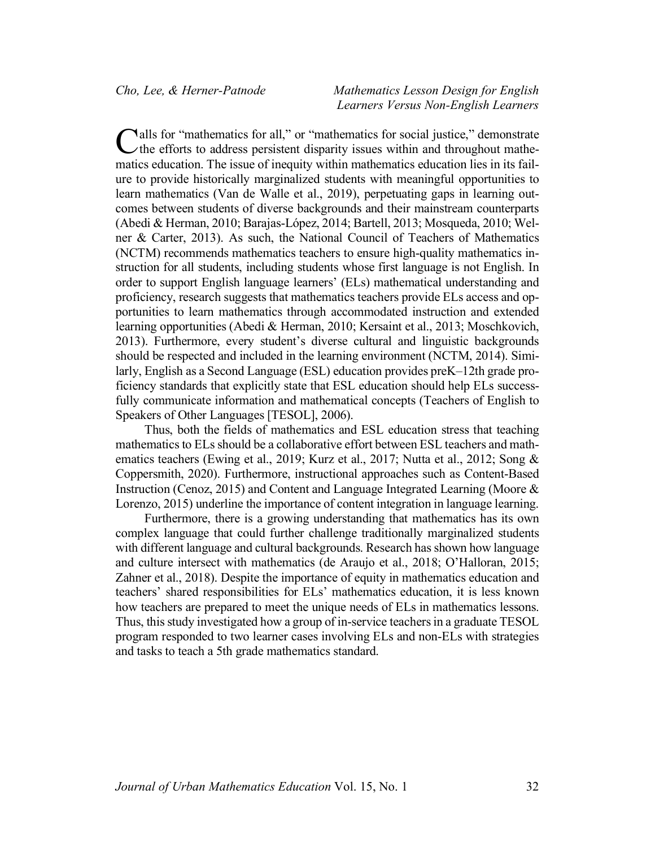alls for "mathematics for all," or "mathematics for social justice," demonstrate Calls for "mathematics for all," or "mathematics for social justice," demonstrate<br>
the efforts to address persistent disparity issues within and throughout mathematics education. The issue of inequity within mathematics education lies in its failure to provide historically marginalized students with meaningful opportunities to learn mathematics (Van de Walle et al., 2019), perpetuating gaps in learning outcomes between students of diverse backgrounds and their mainstream counterparts (Abedi & Herman, 2010; Barajas-López, 2014; Bartell, 2013; Mosqueda, 2010; Welner & Carter, 2013). As such, the National Council of Teachers of Mathematics (NCTM) recommends mathematics teachers to ensure high-quality mathematics instruction for all students, including students whose first language is not English. In order to support English language learners' (ELs) mathematical understanding and proficiency, research suggests that mathematics teachers provide ELs access and opportunities to learn mathematics through accommodated instruction and extended learning opportunities (Abedi & Herman, 2010; Kersaint et al., 2013; Moschkovich, 2013). Furthermore, every student's diverse cultural and linguistic backgrounds should be respected and included in the learning environment (NCTM, 2014). Similarly, English as a Second Language (ESL) education provides preK–12th grade proficiency standards that explicitly state that ESL education should help ELs successfully communicate information and mathematical concepts (Teachers of English to Speakers of Other Languages [TESOL], 2006).

Thus, both the fields of mathematics and ESL education stress that teaching mathematics to ELs should be a collaborative effort between ESL teachers and mathematics teachers (Ewing et al., 2019; Kurz et al., 2017; Nutta et al., 2012; Song & Coppersmith, 2020). Furthermore, instructional approaches such as Content-Based Instruction (Cenoz, 2015) and Content and Language Integrated Learning (Moore & Lorenzo, 2015) underline the importance of content integration in language learning.

Furthermore, there is a growing understanding that mathematics has its own complex language that could further challenge traditionally marginalized students with different language and cultural backgrounds. Research has shown how language and culture intersect with mathematics (de Araujo et al., 2018; O'Halloran, 2015; Zahner et al., 2018). Despite the importance of equity in mathematics education and teachers' shared responsibilities for ELs' mathematics education, it is less known how teachers are prepared to meet the unique needs of ELs in mathematics lessons. Thus, this study investigated how a group of in-service teachers in a graduate TESOL program responded to two learner cases involving ELs and non-ELs with strategies and tasks to teach a 5th grade mathematics standard.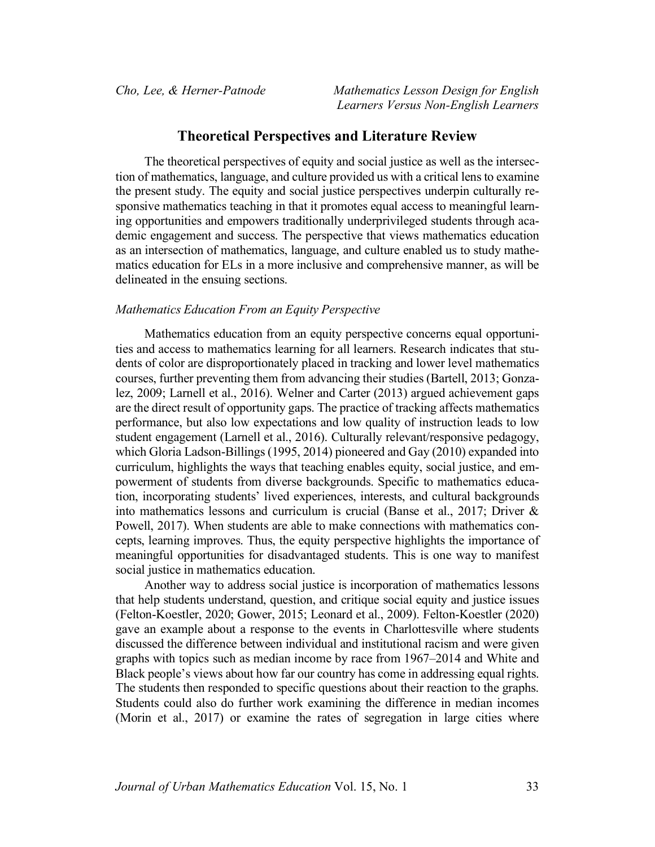## **Theoretical Perspectives and Literature Review**

The theoretical perspectives of equity and social justice as well as the intersection of mathematics, language, and culture provided us with a critical lens to examine the present study. The equity and social justice perspectives underpin culturally responsive mathematics teaching in that it promotes equal access to meaningful learning opportunities and empowers traditionally underprivileged students through academic engagement and success. The perspective that views mathematics education as an intersection of mathematics, language, and culture enabled us to study mathematics education for ELs in a more inclusive and comprehensive manner, as will be delineated in the ensuing sections.

#### *Mathematics Education From an Equity Perspective*

Mathematics education from an equity perspective concerns equal opportunities and access to mathematics learning for all learners. Research indicates that students of color are disproportionately placed in tracking and lower level mathematics courses, further preventing them from advancing their studies (Bartell, 2013; Gonzalez, 2009; Larnell et al., 2016). Welner and Carter (2013) argued achievement gaps are the direct result of opportunity gaps. The practice of tracking affects mathematics performance, but also low expectations and low quality of instruction leads to low student engagement (Larnell et al., 2016). Culturally relevant/responsive pedagogy, which Gloria Ladson-Billings (1995, 2014) pioneered and Gay (2010) expanded into curriculum, highlights the ways that teaching enables equity, social justice, and empowerment of students from diverse backgrounds. Specific to mathematics education, incorporating students' lived experiences, interests, and cultural backgrounds into mathematics lessons and curriculum is crucial (Banse et al., 2017; Driver & Powell, 2017). When students are able to make connections with mathematics concepts, learning improves. Thus, the equity perspective highlights the importance of meaningful opportunities for disadvantaged students. This is one way to manifest social justice in mathematics education.

Another way to address social justice is incorporation of mathematics lessons that help students understand, question, and critique social equity and justice issues (Felton-Koestler, 2020; Gower, 2015; Leonard et al., 2009). Felton-Koestler (2020) gave an example about a response to the events in Charlottesville where students discussed the difference between individual and institutional racism and were given graphs with topics such as median income by race from 1967–2014 and White and Black people's views about how far our country has come in addressing equal rights. The students then responded to specific questions about their reaction to the graphs. Students could also do further work examining the difference in median incomes (Morin et al., 2017) or examine the rates of segregation in large cities where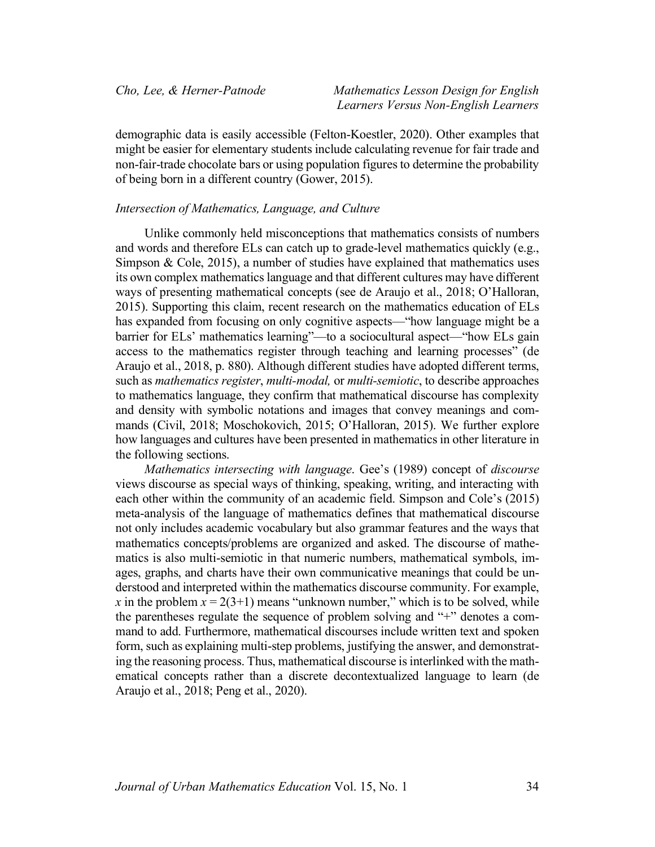demographic data is easily accessible (Felton-Koestler, 2020). Other examples that might be easier for elementary students include calculating revenue for fair trade and non-fair-trade chocolate bars or using population figures to determine the probability of being born in a different country (Gower, 2015).

#### *Intersection of Mathematics, Language, and Culture*

Unlike commonly held misconceptions that mathematics consists of numbers and words and therefore ELs can catch up to grade-level mathematics quickly (e.g., Simpson & Cole, 2015), a number of studies have explained that mathematics uses its own complex mathematics language and that different cultures may have different ways of presenting mathematical concepts (see de Araujo et al., 2018; O'Halloran, 2015). Supporting this claim, recent research on the mathematics education of ELs has expanded from focusing on only cognitive aspects—"how language might be a barrier for ELs' mathematics learning"—to a sociocultural aspect—"how ELs gain access to the mathematics register through teaching and learning processes" (de Araujo et al., 2018, p. 880). Although different studies have adopted different terms, such as *mathematics register*, *multi-modal,* or *multi-semiotic*, to describe approaches to mathematics language, they confirm that mathematical discourse has complexity and density with symbolic notations and images that convey meanings and commands (Civil, 2018; Moschokovich, 2015; O'Halloran, 2015). We further explore how languages and cultures have been presented in mathematics in other literature in the following sections.

*Mathematics intersecting with language*. Gee's (1989) concept of *discourse* views discourse as special ways of thinking, speaking, writing, and interacting with each other within the community of an academic field. Simpson and Cole's (2015) meta-analysis of the language of mathematics defines that mathematical discourse not only includes academic vocabulary but also grammar features and the ways that mathematics concepts/problems are organized and asked. The discourse of mathematics is also multi-semiotic in that numeric numbers, mathematical symbols, images, graphs, and charts have their own communicative meanings that could be understood and interpreted within the mathematics discourse community. For example, *x* in the problem  $x = 2(3+1)$  means "unknown number," which is to be solved, while the parentheses regulate the sequence of problem solving and "+" denotes a command to add. Furthermore, mathematical discourses include written text and spoken form, such as explaining multi-step problems, justifying the answer, and demonstrating the reasoning process. Thus, mathematical discourse is interlinked with the mathematical concepts rather than a discrete decontextualized language to learn (de Araujo et al., 2018; Peng et al., 2020).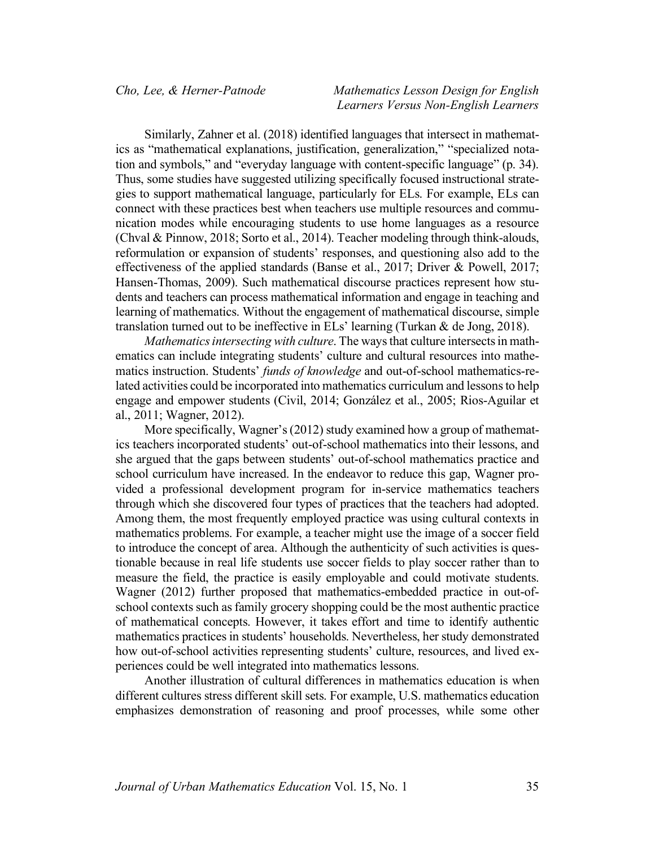Similarly, Zahner et al. (2018) identified languages that intersect in mathematics as "mathematical explanations, justification, generalization," "specialized notation and symbols," and "everyday language with content-specific language" (p. 34). Thus, some studies have suggested utilizing specifically focused instructional strategies to support mathematical language, particularly for ELs. For example, ELs can connect with these practices best when teachers use multiple resources and communication modes while encouraging students to use home languages as a resource (Chval & Pinnow, 2018; Sorto et al., 2014). Teacher modeling through think-alouds, reformulation or expansion of students' responses, and questioning also add to the effectiveness of the applied standards (Banse et al., 2017; Driver & Powell, 2017; Hansen-Thomas, 2009). Such mathematical discourse practices represent how students and teachers can process mathematical information and engage in teaching and learning of mathematics. Without the engagement of mathematical discourse, simple translation turned out to be ineffective in ELs' learning (Turkan & de Jong, 2018).

*Mathematics intersecting with culture*. The ways that culture intersects in mathematics can include integrating students' culture and cultural resources into mathematics instruction. Students' *funds of knowledge* and out-of-school mathematics-related activities could be incorporated into mathematics curriculum and lessons to help engage and empower students (Civil, 2014; González et al., 2005; Rios-Aguilar et al., 2011; Wagner, 2012).

More specifically, Wagner's (2012) study examined how a group of mathematics teachers incorporated students' out-of-school mathematics into their lessons, and she argued that the gaps between students' out-of-school mathematics practice and school curriculum have increased. In the endeavor to reduce this gap, Wagner provided a professional development program for in-service mathematics teachers through which she discovered four types of practices that the teachers had adopted. Among them, the most frequently employed practice was using cultural contexts in mathematics problems. For example, a teacher might use the image of a soccer field to introduce the concept of area. Although the authenticity of such activities is questionable because in real life students use soccer fields to play soccer rather than to measure the field, the practice is easily employable and could motivate students. Wagner (2012) further proposed that mathematics-embedded practice in out-ofschool contexts such as family grocery shopping could be the most authentic practice of mathematical concepts. However, it takes effort and time to identify authentic mathematics practices in students' households. Nevertheless, her study demonstrated how out-of-school activities representing students' culture, resources, and lived experiences could be well integrated into mathematics lessons.

Another illustration of cultural differences in mathematics education is when different cultures stress different skill sets. For example, U.S. mathematics education emphasizes demonstration of reasoning and proof processes, while some other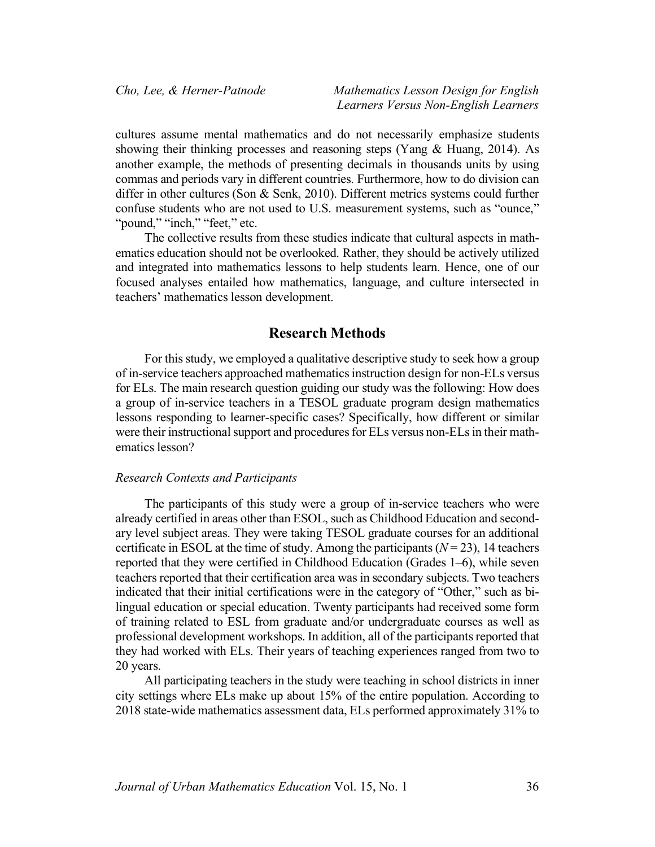cultures assume mental mathematics and do not necessarily emphasize students showing their thinking processes and reasoning steps (Yang & Huang, 2014). As another example, the methods of presenting decimals in thousands units by using commas and periods vary in different countries. Furthermore, how to do division can differ in other cultures (Son & Senk, 2010). Different metrics systems could further confuse students who are not used to U.S. measurement systems, such as "ounce," "pound," "inch," "feet," etc.

The collective results from these studies indicate that cultural aspects in mathematics education should not be overlooked. Rather, they should be actively utilized and integrated into mathematics lessons to help students learn. Hence, one of our focused analyses entailed how mathematics, language, and culture intersected in teachers' mathematics lesson development.

## **Research Methods**

For this study, we employed a qualitative descriptive study to seek how a group of in-service teachers approached mathematics instruction design for non-ELs versus for ELs. The main research question guiding our study was the following: How does a group of in-service teachers in a TESOL graduate program design mathematics lessons responding to learner-specific cases? Specifically, how different or similar were their instructional support and procedures for ELs versus non-ELs in their mathematics lesson?

#### *Research Contexts and Participants*

The participants of this study were a group of in-service teachers who were already certified in areas other than ESOL, such as Childhood Education and secondary level subject areas. They were taking TESOL graduate courses for an additional certificate in ESOL at the time of study. Among the participants  $(N = 23)$ , 14 teachers reported that they were certified in Childhood Education (Grades 1–6), while seven teachers reported that their certification area was in secondary subjects. Two teachers indicated that their initial certifications were in the category of "Other," such as bilingual education or special education. Twenty participants had received some form of training related to ESL from graduate and/or undergraduate courses as well as professional development workshops. In addition, all of the participants reported that they had worked with ELs. Their years of teaching experiences ranged from two to 20 years.

All participating teachers in the study were teaching in school districts in inner city settings where ELs make up about 15% of the entire population. According to 2018 state-wide mathematics assessment data, ELs performed approximately 31% to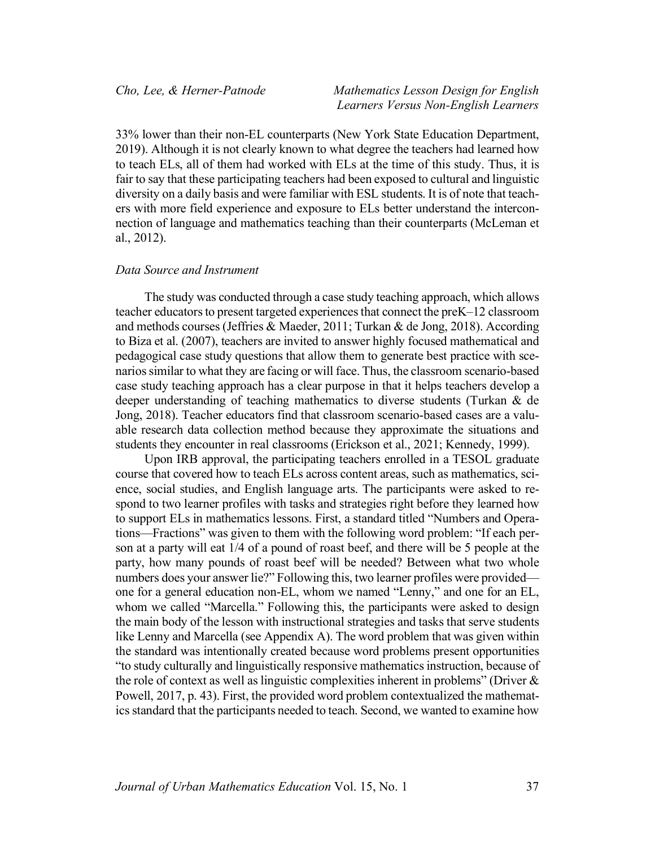33% lower than their non-EL counterparts (New York State Education Department, 2019). Although it is not clearly known to what degree the teachers had learned how to teach ELs, all of them had worked with ELs at the time of this study. Thus, it is fair to say that these participating teachers had been exposed to cultural and linguistic diversity on a daily basis and were familiar with ESL students. It is of note that teachers with more field experience and exposure to ELs better understand the interconnection of language and mathematics teaching than their counterparts (McLeman et al., 2012).

#### *Data Source and Instrument*

The study was conducted through a case study teaching approach, which allows teacher educators to present targeted experiences that connect the preK–12 classroom and methods courses (Jeffries & Maeder, 2011; Turkan & de Jong, 2018). According to Biza et al. (2007), teachers are invited to answer highly focused mathematical and pedagogical case study questions that allow them to generate best practice with scenarios similar to what they are facing or will face. Thus, the classroom scenario-based case study teaching approach has a clear purpose in that it helps teachers develop a deeper understanding of teaching mathematics to diverse students (Turkan & de Jong, 2018). Teacher educators find that classroom scenario-based cases are a valuable research data collection method because they approximate the situations and students they encounter in real classrooms (Erickson et al., 2021; Kennedy, 1999).

Upon IRB approval, the participating teachers enrolled in a TESOL graduate course that covered how to teach ELs across content areas, such as mathematics, science, social studies, and English language arts. The participants were asked to respond to two learner profiles with tasks and strategies right before they learned how to support ELs in mathematics lessons. First, a standard titled "Numbers and Operations—Fractions" was given to them with the following word problem: "If each person at a party will eat 1/4 of a pound of roast beef, and there will be 5 people at the party, how many pounds of roast beef will be needed? Between what two whole numbers does your answer lie?" Following this, two learner profiles were provided one for a general education non-EL, whom we named "Lenny," and one for an EL, whom we called "Marcella." Following this, the participants were asked to design the main body of the lesson with instructional strategies and tasks that serve students like Lenny and Marcella (see Appendix A). The word problem that was given within the standard was intentionally created because word problems present opportunities "to study culturally and linguistically responsive mathematics instruction, because of the role of context as well as linguistic complexities inherent in problems" (Driver  $\&$ Powell, 2017, p. 43). First, the provided word problem contextualized the mathematics standard that the participants needed to teach. Second, we wanted to examine how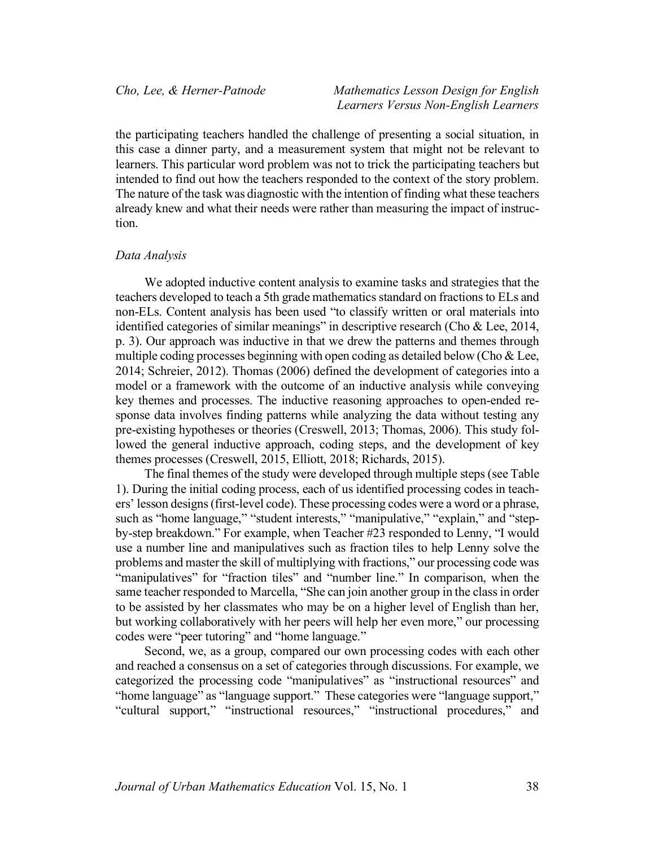the participating teachers handled the challenge of presenting a social situation, in this case a dinner party, and a measurement system that might not be relevant to learners. This particular word problem was not to trick the participating teachers but intended to find out how the teachers responded to the context of the story problem. The nature of the task was diagnostic with the intention of finding what these teachers already knew and what their needs were rather than measuring the impact of instruction.

#### *Data Analysis*

We adopted inductive content analysis to examine tasks and strategies that the teachers developed to teach a 5th grade mathematics standard on fractions to ELs and non-ELs. Content analysis has been used "to classify written or oral materials into identified categories of similar meanings" in descriptive research (Cho & Lee, 2014, p. 3). Our approach was inductive in that we drew the patterns and themes through multiple coding processes beginning with open coding as detailed below (Cho  $& \& \mathcal{L}$ ee, 2014; Schreier, 2012). Thomas (2006) defined the development of categories into a model or a framework with the outcome of an inductive analysis while conveying key themes and processes. The inductive reasoning approaches to open-ended response data involves finding patterns while analyzing the data without testing any pre-existing hypotheses or theories (Creswell, 2013; Thomas, 2006). This study followed the general inductive approach, coding steps, and the development of key themes processes (Creswell, 2015, Elliott, 2018; Richards, 2015).

The final themes of the study were developed through multiple steps (see Table 1). During the initial coding process, each of us identified processing codes in teachers' lesson designs (first-level code). These processing codes were a word or a phrase, such as "home language," "student interests," "manipulative," "explain," and "stepby-step breakdown." For example, when Teacher #23 responded to Lenny, "I would use a number line and manipulatives such as fraction tiles to help Lenny solve the problems and master the skill of multiplying with fractions," our processing code was "manipulatives" for "fraction tiles" and "number line." In comparison, when the same teacher responded to Marcella, "She can join another group in the class in order to be assisted by her classmates who may be on a higher level of English than her, but working collaboratively with her peers will help her even more," our processing codes were "peer tutoring" and "home language."

Second, we, as a group, compared our own processing codes with each other and reached a consensus on a set of categories through discussions. For example, we categorized the processing code "manipulatives" as "instructional resources" and "home language" as "language support." These categories were "language support," "cultural support," "instructional resources," "instructional procedures," and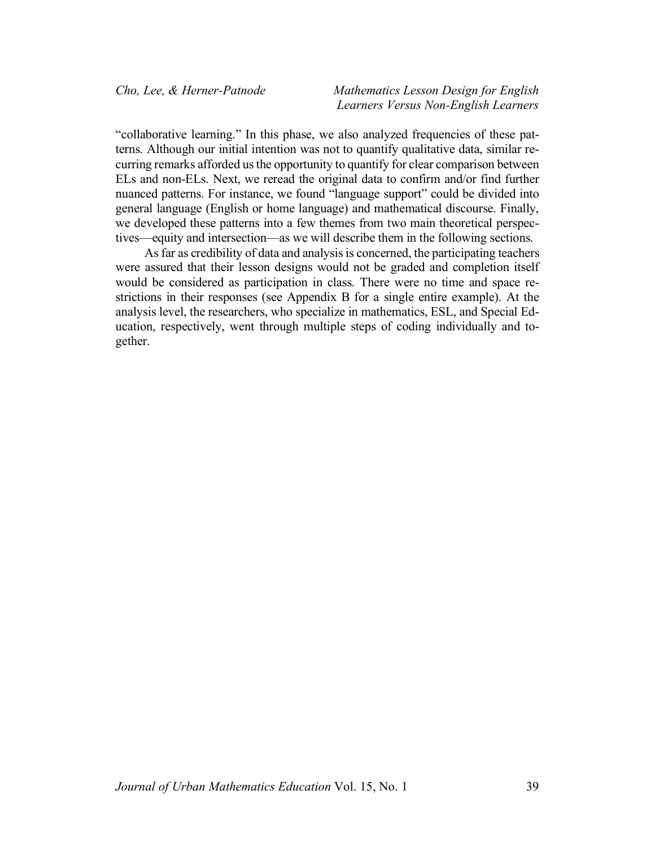"collaborative learning." In this phase, we also analyzed frequencies of these patterns. Although our initial intention was not to quantify qualitative data, similar recurring remarks afforded us the opportunity to quantify for clear comparison between ELs and non-ELs. Next, we reread the original data to confirm and/or find further nuanced patterns. For instance, we found "language support" could be divided into general language (English or home language) and mathematical discourse. Finally, we developed these patterns into a few themes from two main theoretical perspectives—equity and intersection—as we will describe them in the following sections.

As far as credibility of data and analysis is concerned, the participating teachers were assured that their lesson designs would not be graded and completion itself would be considered as participation in class. There were no time and space restrictions in their responses (see Appendix B for a single entire example). At the analysis level, the researchers, who specialize in mathematics, ESL, and Special Education, respectively, went through multiple steps of coding individually and together.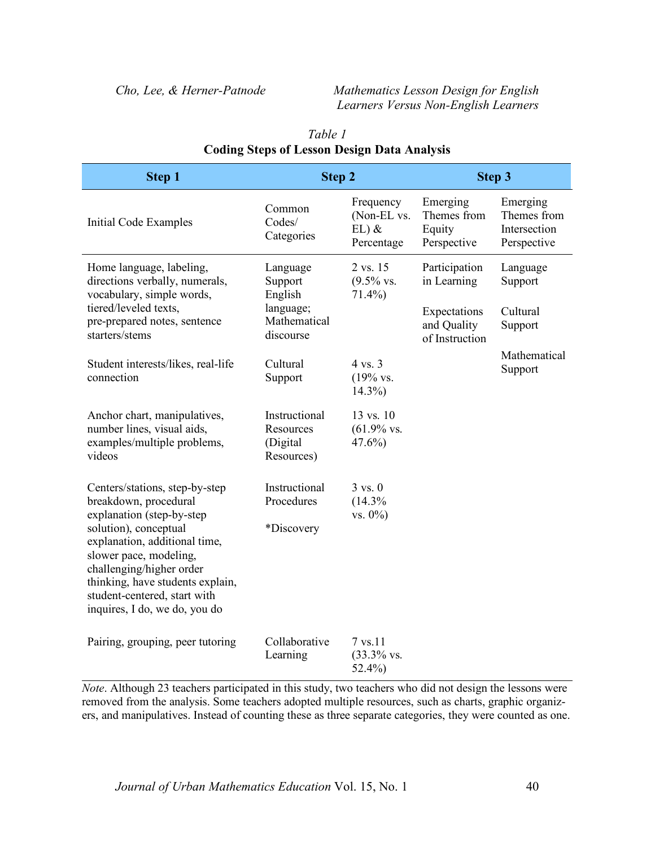|                                                             |                                                   | Step 3                                           |                                                        |
|-------------------------------------------------------------|---------------------------------------------------|--------------------------------------------------|--------------------------------------------------------|
| Common<br>Codes/<br>Categories                              | Frequency<br>(Non-EL vs.<br>$EL)$ &<br>Percentage | Emerging<br>Themes from<br>Equity<br>Perspective | Emerging<br>Themes from<br>Intersection<br>Perspective |
| Language<br>Support<br>English<br>language;<br>Mathematical | 2 vs. 15<br>$(9.5\%$ vs.<br>$71.4\%$              | Participation<br>in Learning<br>Expectations     | Language<br>Support<br>Cultural<br>Support             |
|                                                             |                                                   | of Instruction                                   | Mathematical                                           |
| Support                                                     | $(19\% \text{ vs. }$<br>$14.3\%$                  |                                                  | Support                                                |
| Instructional<br>Resources<br>(Digital<br>Resources)        | 13 vs. 10<br>$(61.9\%$ vs.<br>$47.6\%$            |                                                  |                                                        |
| Instructional<br>Procedures<br>*Discovery                   | $3 \text{ vs. } 0$<br>(14.3%<br>$vs. 0\%)$        |                                                  |                                                        |
| Collaborative<br>Learning                                   | 7 vs.11<br>$(33.3\%$ vs.                          |                                                  |                                                        |
|                                                             | discourse<br>Cultural                             | Step 2<br>4 vs. 3<br>$52.4\%$                    | and Quality                                            |

# *Table 1* **Coding Steps of Lesson Design Data Analysis**

*Note*. Although 23 teachers participated in this study, two teachers who did not design the lessons were removed from the analysis. Some teachers adopted multiple resources, such as charts, graphic organizers, and manipulatives. Instead of counting these as three separate categories, they were counted as one.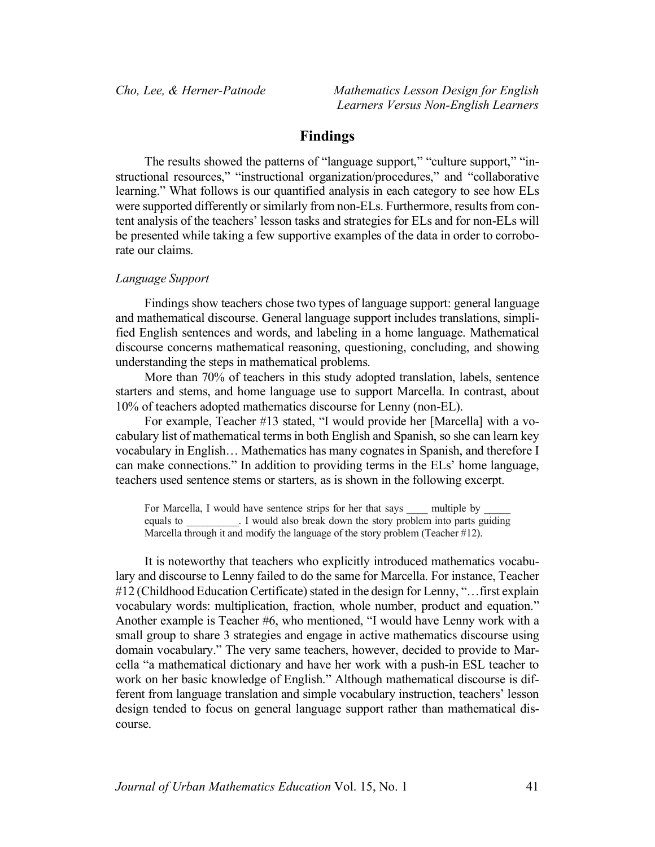# **Findings**

The results showed the patterns of "language support," "culture support," "instructional resources," "instructional organization/procedures," and "collaborative learning." What follows is our quantified analysis in each category to see how ELs were supported differently or similarly from non-ELs. Furthermore, results from content analysis of the teachers' lesson tasks and strategies for ELs and for non-ELs will be presented while taking a few supportive examples of the data in order to corroborate our claims.

#### *Language Support*

Findings show teachers chose two types of language support: general language and mathematical discourse. General language support includes translations, simplified English sentences and words, and labeling in a home language. Mathematical discourse concerns mathematical reasoning, questioning, concluding, and showing understanding the steps in mathematical problems.

More than 70% of teachers in this study adopted translation, labels, sentence starters and stems, and home language use to support Marcella. In contrast, about 10% of teachers adopted mathematics discourse for Lenny (non-EL).

For example, Teacher #13 stated, "I would provide her [Marcella] with a vocabulary list of mathematical terms in both English and Spanish, so she can learn key vocabulary in English… Mathematics has many cognates in Spanish, and therefore I can make connections." In addition to providing terms in the ELs' home language, teachers used sentence stems or starters, as is shown in the following excerpt.

For Marcella, I would have sentence strips for her that says equality multiple by equals to  $\blacksquare$  I would also break down the story problem into parts guiding Marcella through it and modify the language of the story problem (Teacher #12).

It is noteworthy that teachers who explicitly introduced mathematics vocabulary and discourse to Lenny failed to do the same for Marcella. For instance, Teacher #12 (Childhood Education Certificate) stated in the design for Lenny, "…first explain vocabulary words: multiplication, fraction, whole number, product and equation." Another example is Teacher #6, who mentioned, "I would have Lenny work with a small group to share 3 strategies and engage in active mathematics discourse using domain vocabulary." The very same teachers, however, decided to provide to Marcella "a mathematical dictionary and have her work with a push-in ESL teacher to work on her basic knowledge of English." Although mathematical discourse is different from language translation and simple vocabulary instruction, teachers' lesson design tended to focus on general language support rather than mathematical discourse.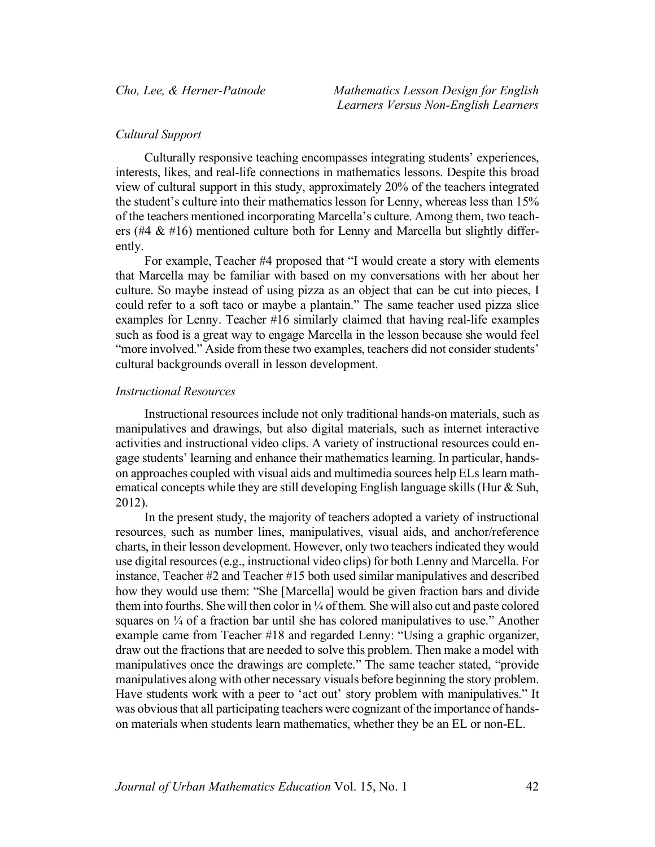## *Cultural Support*

Culturally responsive teaching encompasses integrating students' experiences, interests, likes, and real-life connections in mathematics lessons. Despite this broad view of cultural support in this study, approximately 20% of the teachers integrated the student's culture into their mathematics lesson for Lenny, whereas less than 15% of the teachers mentioned incorporating Marcella's culture. Among them, two teachers (#4  $\&$  #16) mentioned culture both for Lenny and Marcella but slightly differently.

For example, Teacher #4 proposed that "I would create a story with elements that Marcella may be familiar with based on my conversations with her about her culture. So maybe instead of using pizza as an object that can be cut into pieces, I could refer to a soft taco or maybe a plantain." The same teacher used pizza slice examples for Lenny. Teacher #16 similarly claimed that having real-life examples such as food is a great way to engage Marcella in the lesson because she would feel "more involved." Aside from these two examples, teachers did not consider students' cultural backgrounds overall in lesson development.

#### *Instructional Resources*

Instructional resources include not only traditional hands-on materials, such as manipulatives and drawings, but also digital materials, such as internet interactive activities and instructional video clips. A variety of instructional resources could engage students' learning and enhance their mathematics learning. In particular, handson approaches coupled with visual aids and multimedia sources help ELs learn mathematical concepts while they are still developing English language skills (Hur & Suh, 2012).

In the present study, the majority of teachers adopted a variety of instructional resources, such as number lines, manipulatives, visual aids, and anchor/reference charts, in their lesson development. However, only two teachers indicated they would use digital resources (e.g., instructional video clips) for both Lenny and Marcella. For instance, Teacher #2 and Teacher #15 both used similar manipulatives and described how they would use them: "She [Marcella] would be given fraction bars and divide them into fourths. She will then color in ¼ of them. She will also cut and paste colored squares on  $\frac{1}{4}$  of a fraction bar until she has colored manipulatives to use." Another example came from Teacher #18 and regarded Lenny: "Using a graphic organizer, draw out the fractions that are needed to solve this problem. Then make a model with manipulatives once the drawings are complete." The same teacher stated, "provide manipulatives along with other necessary visuals before beginning the story problem. Have students work with a peer to 'act out' story problem with manipulatives." It was obvious that all participating teachers were cognizant of the importance of handson materials when students learn mathematics, whether they be an EL or non-EL.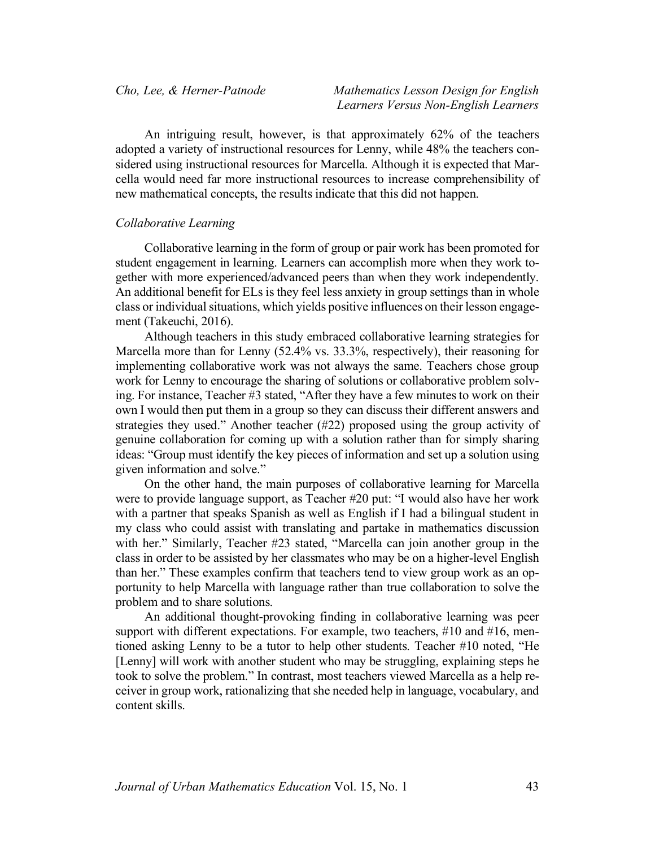An intriguing result, however, is that approximately 62% of the teachers adopted a variety of instructional resources for Lenny, while 48% the teachers considered using instructional resources for Marcella. Although it is expected that Marcella would need far more instructional resources to increase comprehensibility of new mathematical concepts, the results indicate that this did not happen.

#### *Collaborative Learning*

Collaborative learning in the form of group or pair work has been promoted for student engagement in learning. Learners can accomplish more when they work together with more experienced/advanced peers than when they work independently. An additional benefit for ELs is they feel less anxiety in group settings than in whole class or individual situations, which yields positive influences on their lesson engagement (Takeuchi, 2016).

Although teachers in this study embraced collaborative learning strategies for Marcella more than for Lenny (52.4% vs. 33.3%, respectively), their reasoning for implementing collaborative work was not always the same. Teachers chose group work for Lenny to encourage the sharing of solutions or collaborative problem solving. For instance, Teacher #3 stated, "After they have a few minutes to work on their own I would then put them in a group so they can discuss their different answers and strategies they used." Another teacher (#22) proposed using the group activity of genuine collaboration for coming up with a solution rather than for simply sharing ideas: "Group must identify the key pieces of information and set up a solution using given information and solve."

On the other hand, the main purposes of collaborative learning for Marcella were to provide language support, as Teacher #20 put: "I would also have her work with a partner that speaks Spanish as well as English if I had a bilingual student in my class who could assist with translating and partake in mathematics discussion with her." Similarly, Teacher #23 stated, "Marcella can join another group in the class in order to be assisted by her classmates who may be on a higher-level English than her." These examples confirm that teachers tend to view group work as an opportunity to help Marcella with language rather than true collaboration to solve the problem and to share solutions.

An additional thought-provoking finding in collaborative learning was peer support with different expectations. For example, two teachers, #10 and #16, mentioned asking Lenny to be a tutor to help other students. Teacher #10 noted, "He [Lenny] will work with another student who may be struggling, explaining steps he took to solve the problem." In contrast, most teachers viewed Marcella as a help receiver in group work, rationalizing that she needed help in language, vocabulary, and content skills.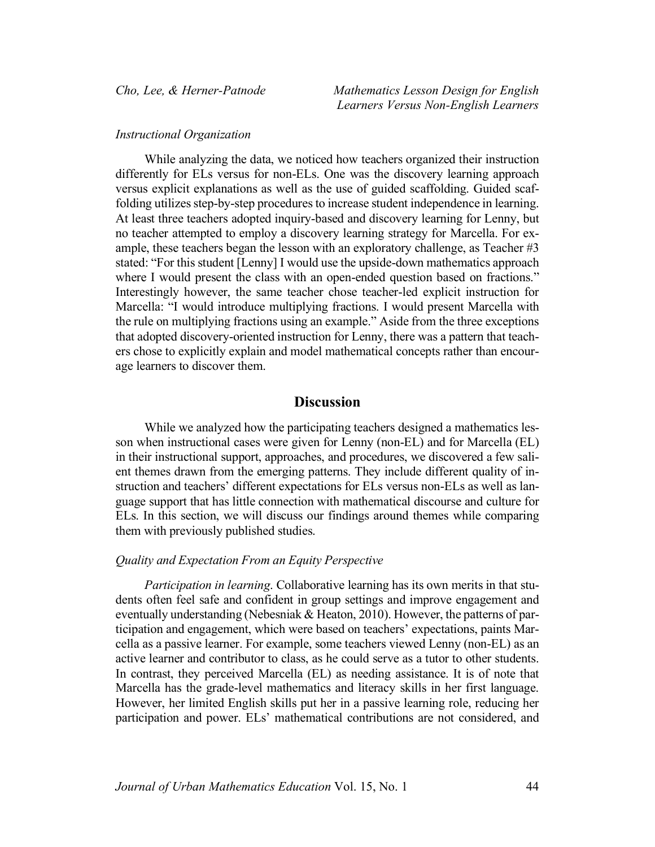#### *Instructional Organization*

While analyzing the data, we noticed how teachers organized their instruction differently for ELs versus for non-ELs. One was the discovery learning approach versus explicit explanations as well as the use of guided scaffolding. Guided scaffolding utilizes step-by-step procedures to increase student independence in learning. At least three teachers adopted inquiry-based and discovery learning for Lenny, but no teacher attempted to employ a discovery learning strategy for Marcella. For example, these teachers began the lesson with an exploratory challenge, as Teacher #3 stated: "For this student [Lenny] I would use the upside-down mathematics approach where I would present the class with an open-ended question based on fractions." Interestingly however, the same teacher chose teacher-led explicit instruction for Marcella: "I would introduce multiplying fractions. I would present Marcella with the rule on multiplying fractions using an example." Aside from the three exceptions that adopted discovery-oriented instruction for Lenny, there was a pattern that teachers chose to explicitly explain and model mathematical concepts rather than encourage learners to discover them.

## **Discussion**

While we analyzed how the participating teachers designed a mathematics lesson when instructional cases were given for Lenny (non-EL) and for Marcella (EL) in their instructional support, approaches, and procedures, we discovered a few salient themes drawn from the emerging patterns. They include different quality of instruction and teachers' different expectations for ELs versus non-ELs as well as language support that has little connection with mathematical discourse and culture for ELs. In this section, we will discuss our findings around themes while comparing them with previously published studies.

#### *Quality and Expectation From an Equity Perspective*

*Participation in learning*. Collaborative learning has its own merits in that students often feel safe and confident in group settings and improve engagement and eventually understanding (Nebesniak & Heaton, 2010). However, the patterns of participation and engagement, which were based on teachers' expectations, paints Marcella as a passive learner. For example, some teachers viewed Lenny (non-EL) as an active learner and contributor to class, as he could serve as a tutor to other students. In contrast, they perceived Marcella (EL) as needing assistance. It is of note that Marcella has the grade-level mathematics and literacy skills in her first language. However, her limited English skills put her in a passive learning role, reducing her participation and power. ELs' mathematical contributions are not considered, and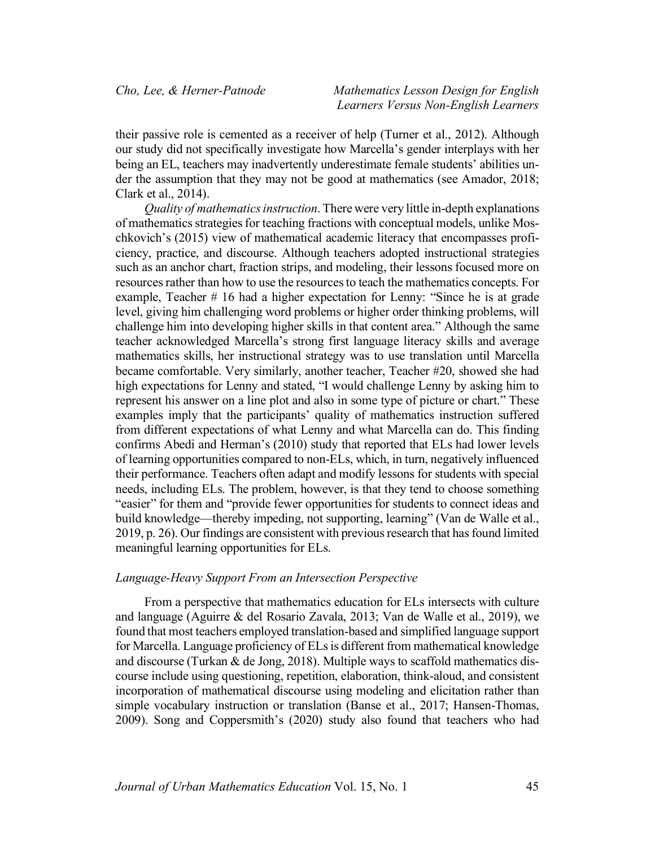their passive role is cemented as a receiver of help (Turner et al., 2012). Although our study did not specifically investigate how Marcella's gender interplays with her being an EL, teachers may inadvertently underestimate female students' abilities under the assumption that they may not be good at mathematics (see Amador, 2018; Clark et al., 2014).

*Quality of mathematics instruction*. There were very little in-depth explanations of mathematics strategies for teaching fractions with conceptual models, unlike Moschkovich's (2015) view of mathematical academic literacy that encompasses proficiency, practice, and discourse. Although teachers adopted instructional strategies such as an anchor chart, fraction strips, and modeling, their lessons focused more on resources rather than how to use the resources to teach the mathematics concepts. For example, Teacher # 16 had a higher expectation for Lenny: "Since he is at grade level, giving him challenging word problems or higher order thinking problems, will challenge him into developing higher skills in that content area." Although the same teacher acknowledged Marcella's strong first language literacy skills and average mathematics skills, her instructional strategy was to use translation until Marcella became comfortable. Very similarly, another teacher, Teacher #20, showed she had high expectations for Lenny and stated, "I would challenge Lenny by asking him to represent his answer on a line plot and also in some type of picture or chart." These examples imply that the participants' quality of mathematics instruction suffered from different expectations of what Lenny and what Marcella can do. This finding confirms Abedi and Herman's (2010) study that reported that ELs had lower levels of learning opportunities compared to non-ELs, which, in turn, negatively influenced their performance. Teachers often adapt and modify lessons for students with special needs, including ELs. The problem, however, is that they tend to choose something "easier" for them and "provide fewer opportunities for students to connect ideas and build knowledge—thereby impeding, not supporting, learning" (Van de Walle et al., 2019, p. 26). Our findings are consistent with previous research that has found limited meaningful learning opportunities for ELs.

#### *Language-Heavy Support From an Intersection Perspective*

From a perspective that mathematics education for ELs intersects with culture and language (Aguirre & del Rosario Zavala, 2013; Van de Walle et al., 2019), we found that most teachers employed translation-based and simplified language support for Marcella. Language proficiency of ELs is different from mathematical knowledge and discourse (Turkan & de Jong, 2018). Multiple ways to scaffold mathematics discourse include using questioning, repetition, elaboration, think-aloud, and consistent incorporation of mathematical discourse using modeling and elicitation rather than simple vocabulary instruction or translation (Banse et al., 2017; Hansen-Thomas, 2009). Song and Coppersmith's (2020) study also found that teachers who had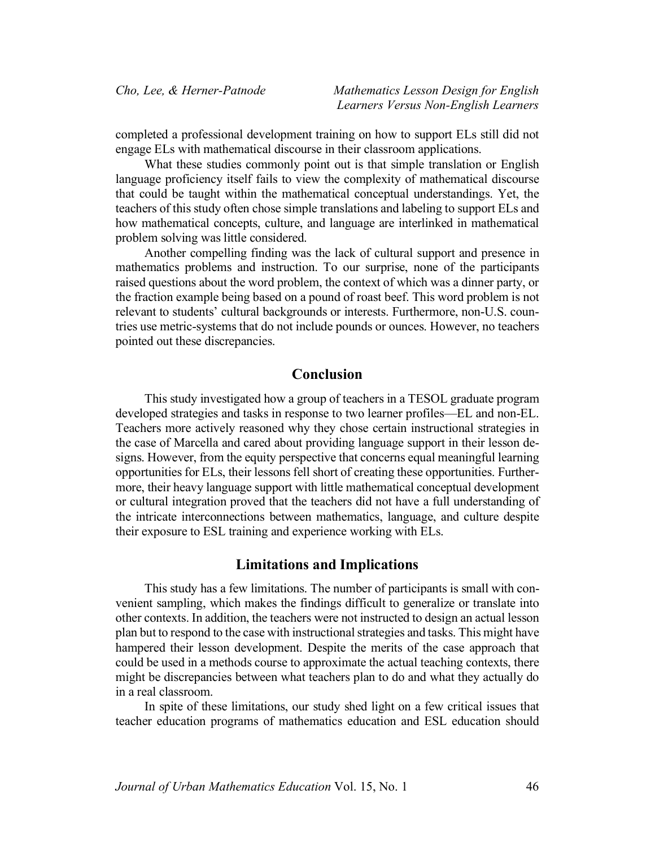completed a professional development training on how to support ELs still did not engage ELs with mathematical discourse in their classroom applications.

What these studies commonly point out is that simple translation or English language proficiency itself fails to view the complexity of mathematical discourse that could be taught within the mathematical conceptual understandings. Yet, the teachers of this study often chose simple translations and labeling to support ELs and how mathematical concepts, culture, and language are interlinked in mathematical problem solving was little considered.

Another compelling finding was the lack of cultural support and presence in mathematics problems and instruction. To our surprise, none of the participants raised questions about the word problem, the context of which was a dinner party, or the fraction example being based on a pound of roast beef. This word problem is not relevant to students' cultural backgrounds or interests. Furthermore, non-U.S. countries use metric-systems that do not include pounds or ounces. However, no teachers pointed out these discrepancies.

# **Conclusion**

This study investigated how a group of teachers in a TESOL graduate program developed strategies and tasks in response to two learner profiles—EL and non-EL. Teachers more actively reasoned why they chose certain instructional strategies in the case of Marcella and cared about providing language support in their lesson designs. However, from the equity perspective that concerns equal meaningful learning opportunities for ELs, their lessons fell short of creating these opportunities. Furthermore, their heavy language support with little mathematical conceptual development or cultural integration proved that the teachers did not have a full understanding of the intricate interconnections between mathematics, language, and culture despite their exposure to ESL training and experience working with ELs.

## **Limitations and Implications**

This study has a few limitations. The number of participants is small with convenient sampling, which makes the findings difficult to generalize or translate into other contexts. In addition, the teachers were not instructed to design an actual lesson plan but to respond to the case with instructional strategies and tasks. This might have hampered their lesson development. Despite the merits of the case approach that could be used in a methods course to approximate the actual teaching contexts, there might be discrepancies between what teachers plan to do and what they actually do in a real classroom.

In spite of these limitations, our study shed light on a few critical issues that teacher education programs of mathematics education and ESL education should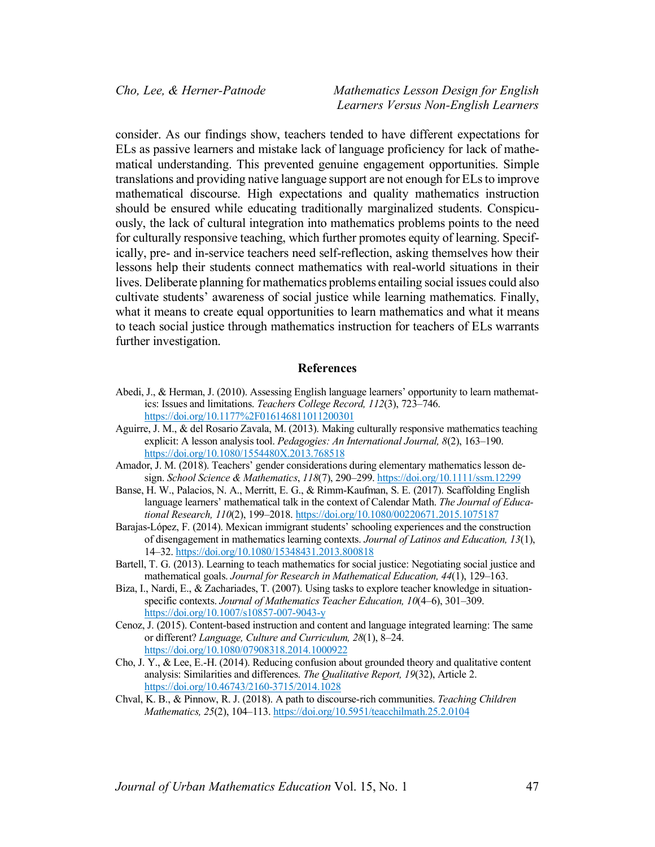consider. As our findings show, teachers tended to have different expectations for ELs as passive learners and mistake lack of language proficiency for lack of mathematical understanding. This prevented genuine engagement opportunities. Simple translations and providing native language support are not enough for ELs to improve mathematical discourse. High expectations and quality mathematics instruction should be ensured while educating traditionally marginalized students. Conspicuously, the lack of cultural integration into mathematics problems points to the need for culturally responsive teaching, which further promotes equity of learning. Specifically, pre- and in-service teachers need self-reflection, asking themselves how their lessons help their students connect mathematics with real-world situations in their lives. Deliberate planning for mathematics problems entailing social issues could also cultivate students' awareness of social justice while learning mathematics. Finally, what it means to create equal opportunities to learn mathematics and what it means to teach social justice through mathematics instruction for teachers of ELs warrants further investigation.

#### **References**

- Abedi, J., & Herman, J. (2010). Assessing English language learners' opportunity to learn mathematics: Issues and limitations. *Teachers College Record, 112*(3), 723–746. https://doi.org/10.1177%2F016146811011200301
- Aguirre, J. M., & del Rosario Zavala, M. (2013). Making culturally responsive mathematics teaching explicit: A lesson analysis tool. *Pedagogies: An International Journal, 8*(2), 163–190. https://doi.org/10.1080/1554480X.2013.768518
- Amador, J. M. (2018). Teachers' gender considerations during elementary mathematics lesson design. *School Science & Mathematics*, *118*(7), 290–299. https://doi.org/10.1111/ssm.12299
- Banse, H. W., Palacios, N. A., Merritt, E. G., & Rimm-Kaufman, S. E. (2017). Scaffolding English language learners' mathematical talk in the context of Calendar Math. *The Journal of Educational Research, 110*(2), 199–2018. https://doi.org/10.1080/00220671.2015.1075187
- Barajas-López, F. (2014). Mexican immigrant students' schooling experiences and the construction of disengagement in mathematics learning contexts. *Journal of Latinos and Education, 13*(1), 14–32. https://doi.org/10.1080/15348431.2013.800818
- Bartell, T. G. (2013). Learning to teach mathematics for social justice: Negotiating social justice and mathematical goals. *Journal for Research in Mathematical Education, 44*(1), 129–163.
- Biza, I., Nardi, E., & Zachariades, T. (2007). Using tasks to explore teacher knowledge in situationspecific contexts. *Journal of Mathematics Teacher Education, 10*(4–6), 301–309. https://doi.org/10.1007/s10857-007-9043-y
- Cenoz, J. (2015). Content-based instruction and content and language integrated learning: The same or different? *Language, Culture and Curriculum, 28*(1), 8–24. https://doi.org/10.1080/07908318.2014.1000922
- Cho, J. Y., & Lee, E.-H. (2014). Reducing confusion about grounded theory and qualitative content analysis: Similarities and differences. *The Qualitative Report, 19*(32), Article 2. https://doi.org/10.46743/2160-3715/2014.1028
- Chval, K. B., & Pinnow, R. J. (2018). A path to discourse-rich communities. *Teaching Children Mathematics, 25*(2), 104–113. https://doi.org/10.5951/teacchilmath.25.2.0104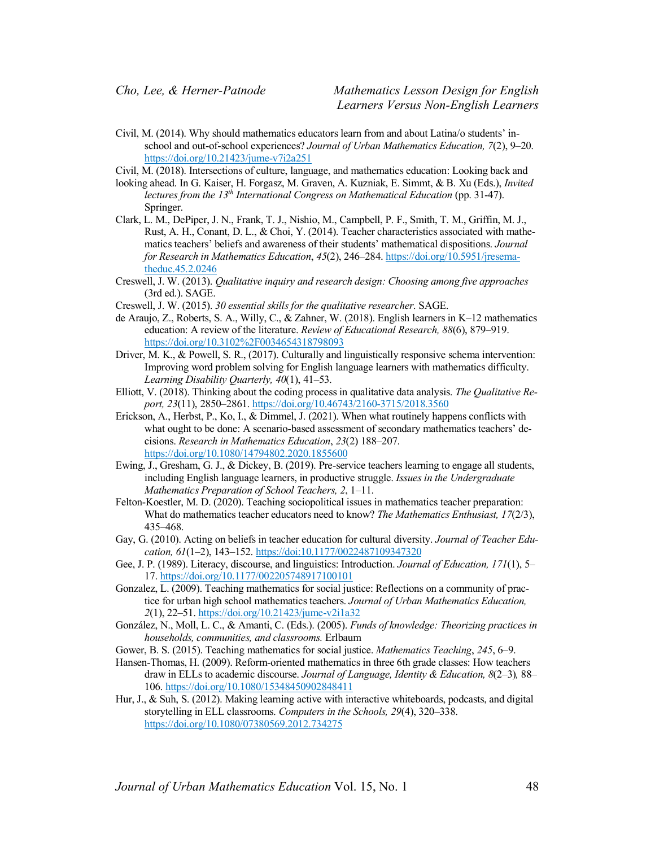Civil, M. (2014). Why should mathematics educators learn from and about Latina/o students' inschool and out-of-school experiences? *Journal of Urban Mathematics Education, 7*(2), 9–20. https://doi.org/10.21423/jume-v7i2a251

Civil, M. (2018). Intersections of culture, language, and mathematics education: Looking back and

- looking ahead. In G. Kaiser, H. Forgasz, M. Graven, A. Kuzniak, E. Simmt, & B. Xu (Eds.), *Invited lectures from the 13th International Congress on Mathematical Education* (pp. 31-47). Springer.
- Clark, L. M., DePiper, J. N., Frank, T. J., Nishio, M., Campbell, P. F., Smith, T. M., Griffin, M. J., Rust, A. H., Conant, D. L., & Choi, Y. (2014). Teacher characteristics associated with mathematics teachers' beliefs and awareness of their students' mathematical dispositions. *Journal for Research in Mathematics Education*, *45*(2), 246–284. https://doi.org/10.5951/jresematheduc.45.2.0246
- Creswell, J. W. (2013). *Qualitative inquiry and research design: Choosing among five approaches* (3rd ed.). SAGE.
- Creswell, J. W. (2015). *30 essential skills for the qualitative researcher*. SAGE.
- de Araujo, Z., Roberts, S. A., Willy, C., & Zahner, W. (2018). English learners in K–12 mathematics education: A review of the literature. *Review of Educational Research, 88*(6), 879–919. https://doi.org/10.3102%2F0034654318798093
- Driver, M. K., & Powell, S. R., (2017). Culturally and linguistically responsive schema intervention: Improving word problem solving for English language learners with mathematics difficulty. *Learning Disability Quarterly, 40*(1), 41–53.
- Elliott, V. (2018). Thinking about the coding process in qualitative data analysis. *The Qualitative Report, 23*(11), 2850–2861. https://doi.org/10.46743/2160-3715/2018.3560
- Erickson, A., Herbst, P., Ko, I., & Dimmel, J. (2021). When what routinely happens conflicts with what ought to be done: A scenario-based assessment of secondary mathematics teachers' decisions. *Research in Mathematics Education*, *23*(2) 188–207. https://doi.org/10.1080/14794802.2020.1855600
- Ewing, J., Gresham, G. J., & Dickey, B. (2019). Pre-service teachers learning to engage all students, including English language learners, in productive struggle. *Issues in the Undergraduate Mathematics Preparation of School Teachers, 2*, 1–11.
- Felton-Koestler, M. D. (2020). Teaching sociopolitical issues in mathematics teacher preparation: What do mathematics teacher educators need to know? *The Mathematics Enthusiast, 17*(2/3), 435–468.
- Gay, G. (2010). Acting on beliefs in teacher education for cultural diversity. *Journal of Teacher Education, 61*(1–2), 143–152. https://doi:10.1177/0022487109347320
- Gee, J. P. (1989). Literacy, discourse, and linguistics: Introduction. *Journal of Education, 171*(1), 5– 17. https://doi.org/10.1177/002205748917100101
- Gonzalez, L. (2009). Teaching mathematics for social justice: Reflections on a community of practice for urban high school mathematics teachers. *Journal of Urban Mathematics Education, 2*(1), 22–51. https://doi.org/10.21423/jume-v2i1a32
- González, N., Moll, L. C., & Amanti, C. (Eds.). (2005). *Funds of knowledge: Theorizing practices in households, communities, and classrooms.* Erlbaum
- Gower, B. S. (2015). Teaching mathematics for social justice. *Mathematics Teaching*, *245*, 6–9.
- Hansen-Thomas, H. (2009). Reform-oriented mathematics in three 6th grade classes: How teachers draw in ELLs to academic discourse. *Journal of Language, Identity & Education, 8*(2–3)*,* 88– 106. https://doi.org/10.1080/15348450902848411
- Hur, J., & Suh, S. (2012). Making learning active with interactive whiteboards, podcasts, and digital storytelling in ELL classrooms. *Computers in the Schools, 29*(4), 320–338. https://doi.org/10.1080/07380569.2012.734275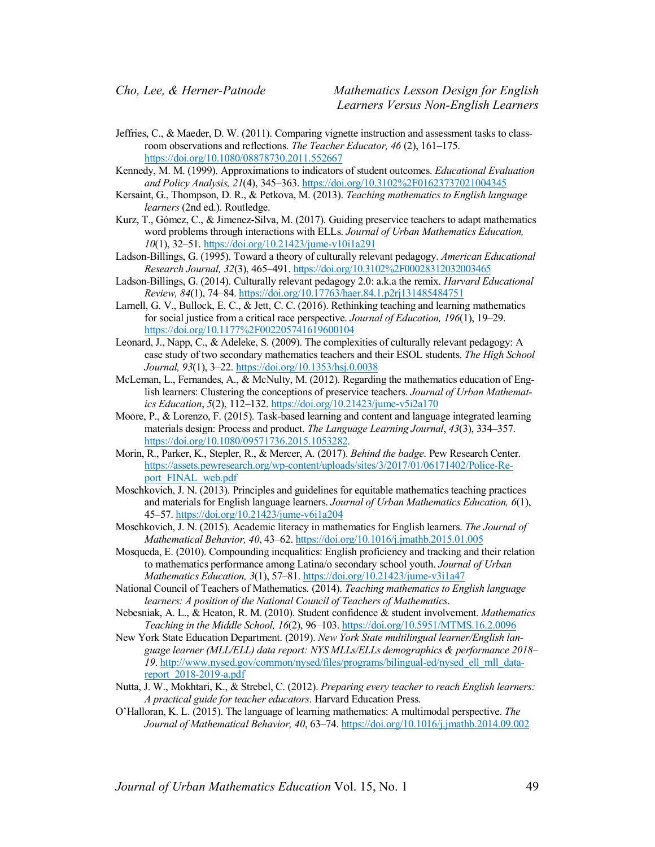- Jeffries, C., & Maeder, D. W. (2011). Comparing vignette instruction and assessment tasks to classroom observations and reflections. *The Teacher Educator, 46* (2), 161–175. https://doi.org/10.1080/08878730.2011.552667
- Kennedy, M. M. (1999). Approximations to indicators of student outcomes. *Educational Evaluation and Policy Analysis, 21*(4), 345–363. https://doi.org/10.3102%2F01623737021004345
- Kersaint, G., Thompson, D. R., & Petkova, M. (2013). *Teaching mathematics to English language learners* (2nd ed.). Routledge.
- Kurz, T., Gómez, C., & Jimenez-Silva, M. (2017). Guiding preservice teachers to adapt mathematics word problems through interactions with ELLs. *Journal of Urban Mathematics Education, 10*(1), 32–51. https://doi.org/10.21423/jume-v10i1a291
- Ladson-Billings, G. (1995). Toward a theory of culturally relevant pedagogy. *American Educational Research Journal, 32*(3), 465–491. https://doi.org/10.3102%2F00028312032003465
- Ladson-Billings, G. (2014). Culturally relevant pedagogy 2.0: a.k.a the remix. *Harvard Educational Review, 84*(1), 74–84. https://doi.org/10.17763/haer.84.1.p2rj131485484751
- Larnell, G. V., Bullock, E. C., & Jett, C. C. (2016). Rethinking teaching and learning mathematics for social justice from a critical race perspective. *Journal of Education, 196*(1), 19–29. https://doi.org/10.1177%2F002205741619600104
- Leonard, J., Napp, C., & Adeleke, S. (2009). The complexities of culturally relevant pedagogy: A case study of two secondary mathematics teachers and their ESOL students. *The High School Journal, 93*(1), 3–22. https://doi.org/10.1353/hsj.0.0038
- McLeman, L., Fernandes, A., & McNulty, M. (2012). Regarding the mathematics education of English learners: Clustering the conceptions of preservice teachers. *Journal of Urban Mathematics Education*, *5*(2), 112–132. https://doi.org/10.21423/jume-v5i2a170
- Moore, P., & Lorenzo, F. (2015). Task-based learning and content and language integrated learning materials design: Process and product. *The Language Learning Journal*, *43*(3), 334–357. https://doi.org/10.1080/09571736.2015.1053282.
- Morin, R., Parker, K., Stepler, R., & Mercer, A. (2017). *Behind the badge*. Pew Research Center. https://assets.pewresearch.org/wp-content/uploads/sites/3/2017/01/06171402/Police-Report\_FINAL\_web.pdf
- Moschkovich, J. N. (2013). Principles and guidelines for equitable mathematics teaching practices and materials for English language learners. *Journal of Urban Mathematics Education, 6*(1), 45–57. https://doi.org/10.21423/jume-v6i1a204
- Moschkovich, J. N. (2015). Academic literacy in mathematics for English learners. *The Journal of Mathematical Behavior, 40*, 43–62. https://doi.org/10.1016/j.jmathb.2015.01.005
- Mosqueda, E. (2010). Compounding inequalities: English proficiency and tracking and their relation to mathematics performance among Latina/o secondary school youth. *Journal of Urban Mathematics Education, 3*(1), 57–81. https://doi.org/10.21423/jume-v3i1a47
- National Council of Teachers of Mathematics. (2014). *Teaching mathematics to English language learners: A position of the National Council of Teachers of Mathematics*.
- Nebesniak, A. L., & Heaton, R. M. (2010). Student confidence & student involvement. *Mathematics Teaching in the Middle School, 16*(2), 96–103. https://doi.org/10.5951/MTMS.16.2.0096
- New York State Education Department. (2019). *New York State multilingual learner/English language learner (MLL/ELL) data report: NYS MLLs/ELLs demographics & performance 2018–* 19. http://www.nysed.gov/common/nysed/files/programs/bilingual-ed/nysed\_ell\_mll\_datareport\_2018-2019-a.pdf
- Nutta, J. W., Mokhtari, K., & Strebel, C. (2012). *Preparing every teacher to reach English learners: A practical guide for teacher educators*. Harvard Education Press.
- O'Halloran, K. L. (2015). The language of learning mathematics: A multimodal perspective. *The Journal of Mathematical Behavior, 40*, 63–74. https://doi.org/10.1016/j.jmathb.2014.09.002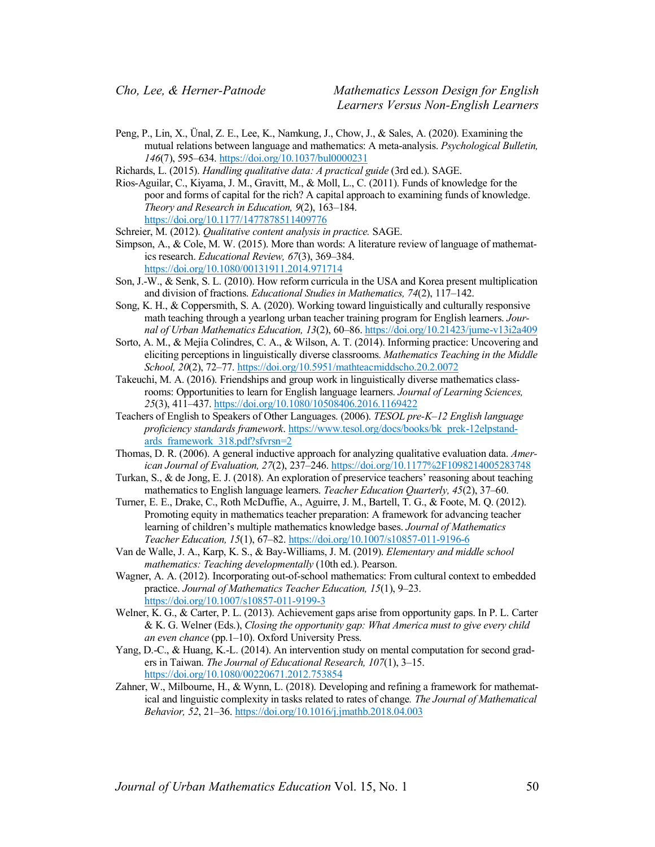Peng, P., Lin, X., Ünal, Z. E., Lee, K., Namkung, J., Chow, J., & Sales, A. (2020). Examining the mutual relations between language and mathematics: A meta-analysis. *Psychological Bulletin, 146*(7), 595–634. https://doi.org/10.1037/bul0000231

Richards, L. (2015). *Handling qualitative data: A practical guide* (3rd ed.). SAGE.

Rios-Aguilar, C., Kiyama, J. M., Gravitt, M., & Moll, L., C. (2011). Funds of knowledge for the poor and forms of capital for the rich? A capital approach to examining funds of knowledge. *Theory and Research in Education, 9*(2), 163–184. https://doi.org/10.1177/1477878511409776

Schreier, M. (2012). *Qualitative content analysis in practice.* SAGE.

- Simpson, A., & Cole, M. W. (2015). More than words: A literature review of language of mathematics research. *Educational Review, 67*(3), 369–384. https://doi.org/10.1080/00131911.2014.971714
- Son, J.-W., & Senk, S. L. (2010). How reform curricula in the USA and Korea present multiplication and division of fractions. *Educational Studies in Mathematics, 74*(2), 117–142.
- Song, K. H., & Coppersmith, S. A. (2020). Working toward linguistically and culturally responsive math teaching through a yearlong urban teacher training program for English learners. *Journal of Urban Mathematics Education, 13*(2), 60–86. https://doi.org/10.21423/jume-v13i2a409
- Sorto, A. M., & Mejía Colindres, C. A., & Wilson, A. T. (2014). Informing practice: Uncovering and eliciting perceptions in linguistically diverse classrooms. *Mathematics Teaching in the Middle School, 20*(2), 72–77. https://doi.org/10.5951/mathteacmiddscho.20.2.0072
- Takeuchi, M. A. (2016). Friendships and group work in linguistically diverse mathematics classrooms: Opportunities to learn for English language learners. *Journal of Learning Sciences, 25*(3), 411–437. https://doi.org/10.1080/10508406.2016.1169422
- Teachers of English to Speakers of Other Languages. (2006). *TESOL pre-K–12 English language proficiency standards framework*. https://www.tesol.org/docs/books/bk\_prek-12elpstandards framework 318.pdf?sfvrsn=2
- Thomas, D. R. (2006). A general inductive approach for analyzing qualitative evaluation data. *American Journal of Evaluation, 27*(2), 237–246. https://doi.org/10.1177%2F1098214005283748
- Turkan, S., & de Jong, E. J. (2018). An exploration of preservice teachers' reasoning about teaching mathematics to English language learners. *Teacher Education Quarterly, 45*(2), 37–60.
- Turner, E. E., Drake, C., Roth McDuffie, A., Aguirre, J. M., Bartell, T. G., & Foote, M. Q. (2012). Promoting equity in mathematics teacher preparation: A framework for advancing teacher learning of children's multiple mathematics knowledge bases. *Journal of Mathematics Teacher Education, 15*(1), 67–82. https://doi.org/10.1007/s10857-011-9196-6
- Van de Walle, J. A., Karp, K. S., & Bay-Williams, J. M. (2019). *Elementary and middle school mathematics: Teaching developmentally* (10th ed.). Pearson.
- Wagner, A. A. (2012). Incorporating out-of-school mathematics: From cultural context to embedded practice. *Journal of Mathematics Teacher Education, 15*(1), 9–23. https://doi.org/10.1007/s10857-011-9199-3
- Welner, K. G., & Carter, P. L. (2013). Achievement gaps arise from opportunity gaps. In P. L. Carter & K. G. Welner (Eds.), *Closing the opportunity gap: What America must to give every child an even chance* (pp.1–10). Oxford University Press.
- Yang, D.-C., & Huang, K.-L. (2014). An intervention study on mental computation for second graders in Taiwan. *The Journal of Educational Research, 107*(1), 3–15. https://doi.org/10.1080/00220671.2012.753854
- Zahner, W., Milbourne, H., & Wynn, L. (2018). Developing and refining a framework for mathematical and linguistic complexity in tasks related to rates of change*. The Journal of Mathematical Behavior, 52*, 21–36. https://doi.org/10.1016/j.jmathb.2018.04.003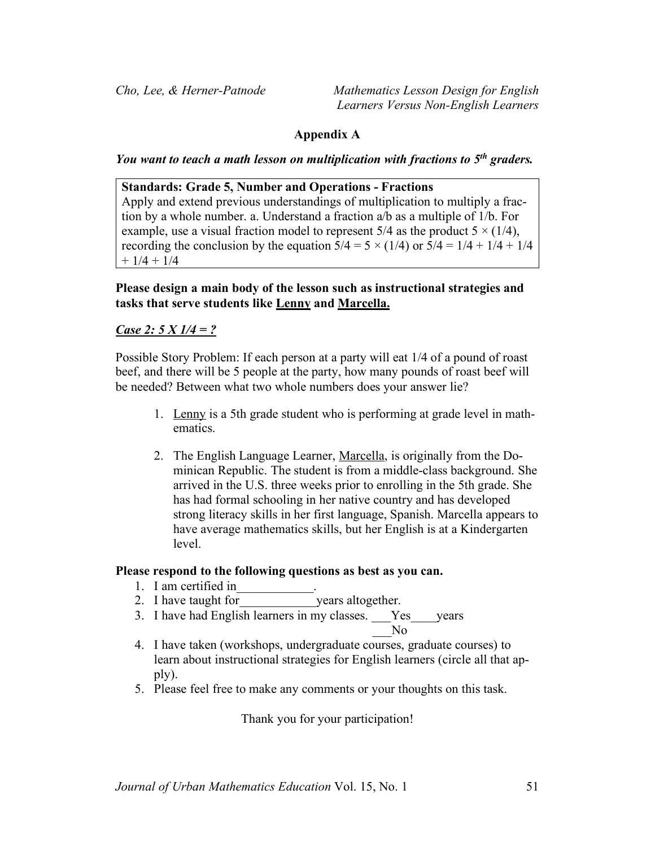# **Appendix A**

*You want to teach a math lesson on multiplication with fractions to 5th graders.*

**Standards: Grade 5, Number and Operations - Fractions** 

Apply and extend previous understandings of multiplication to multiply a fraction by a whole number. a. Understand a fraction a/b as a multiple of 1/b. For example, use a visual fraction model to represent  $5/4$  as the product  $5 \times (1/4)$ , recording the conclusion by the equation  $5/4 = 5 \times (1/4)$  or  $5/4 = 1/4 + 1/4 + 1/4$  $+ 1/4 + 1/4$ 

# **Please design a main body of the lesson such as instructional strategies and tasks that serve students like Lenny and Marcella.**

## *Case 2: 5 X 1/4 = ?*

Possible Story Problem: If each person at a party will eat 1/4 of a pound of roast beef, and there will be 5 people at the party, how many pounds of roast beef will be needed? Between what two whole numbers does your answer lie?

- 1. Lenny is a 5th grade student who is performing at grade level in mathematics.
- 2. The English Language Learner, Marcella, is originally from the Dominican Republic. The student is from a middle-class background. She arrived in the U.S. three weeks prior to enrolling in the 5th grade. She has had formal schooling in her native country and has developed strong literacy skills in her first language, Spanish. Marcella appears to have average mathematics skills, but her English is at a Kindergarten level.

## **Please respond to the following questions as best as you can.**

- 1. I am certified in
- 2. I have taught for vears altogether.
- 3. I have had English learners in my classes. Yes vears

- 4. I have taken (workshops, undergraduate courses, graduate courses) to learn about instructional strategies for English learners (circle all that apply).
- 5. Please feel free to make any comments or your thoughts on this task.

Thank you for your participation!

 $\overline{N}$ o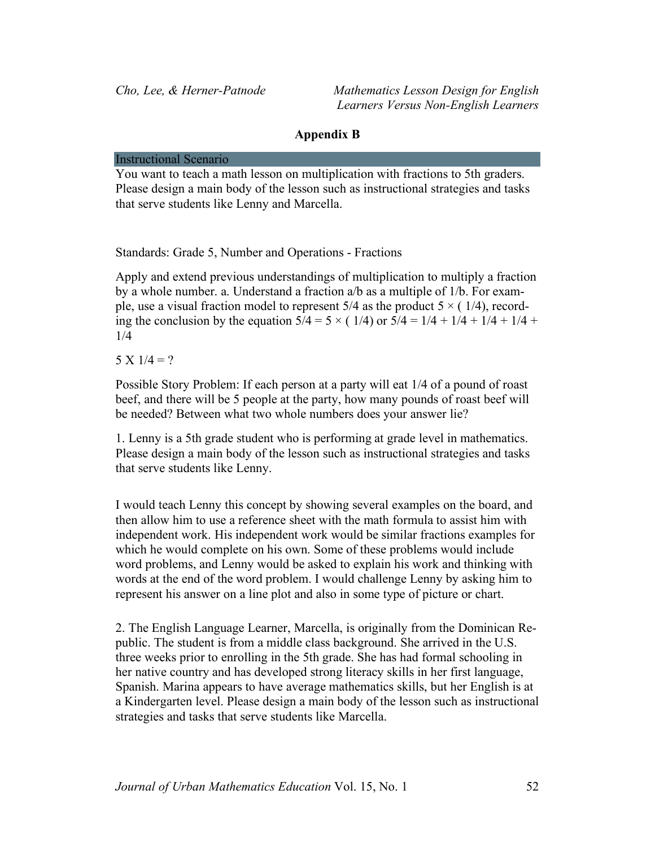## **Appendix B**

#### Instructional Scenario

You want to teach a math lesson on multiplication with fractions to 5th graders. Please design a main body of the lesson such as instructional strategies and tasks that serve students like Lenny and Marcella.

Standards: Grade 5, Number and Operations - Fractions

Apply and extend previous understandings of multiplication to multiply a fraction by a whole number. a. Understand a fraction a/b as a multiple of 1/b. For example, use a visual fraction model to represent  $5/4$  as the product  $5 \times (1/4)$ , recording the conclusion by the equation  $5/4 = 5 \times (1/4)$  or  $5/4 = 1/4 + 1/4 + 1/4 + 1/4 +$ 1/4

 $5 \text{ X } 1/4 = ?$ 

Possible Story Problem: If each person at a party will eat 1/4 of a pound of roast beef, and there will be 5 people at the party, how many pounds of roast beef will be needed? Between what two whole numbers does your answer lie?

1. Lenny is a 5th grade student who is performing at grade level in mathematics. Please design a main body of the lesson such as instructional strategies and tasks that serve students like Lenny.

I would teach Lenny this concept by showing several examples on the board, and then allow him to use a reference sheet with the math formula to assist him with independent work. His independent work would be similar fractions examples for which he would complete on his own. Some of these problems would include word problems, and Lenny would be asked to explain his work and thinking with words at the end of the word problem. I would challenge Lenny by asking him to represent his answer on a line plot and also in some type of picture or chart.

2. The English Language Learner, Marcella, is originally from the Dominican Republic. The student is from a middle class background. She arrived in the U.S. three weeks prior to enrolling in the 5th grade. She has had formal schooling in her native country and has developed strong literacy skills in her first language, Spanish. Marina appears to have average mathematics skills, but her English is at a Kindergarten level. Please design a main body of the lesson such as instructional strategies and tasks that serve students like Marcella.